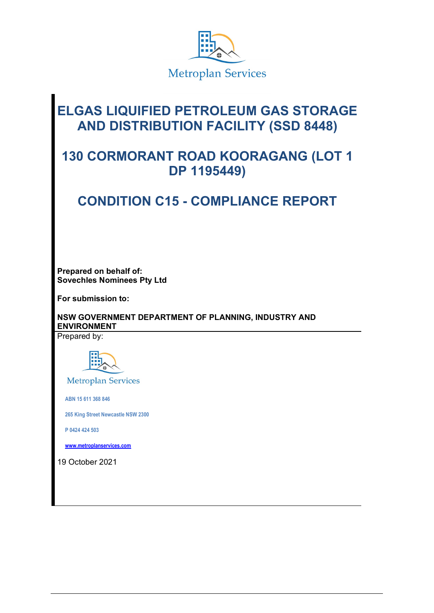

# **ELGAS LIQUIFIED PETROLEUM GAS STORAGE AND DISTRIBUTION FACILITY (SSD 8448)**

# **130 CORMORANT ROAD KOORAGANG (LOT 1 DP 1195449)**

# **CONDITION C15 - COMPLIANCE REPORT**

**Prepared on behalf of: Sovechles Nominees Pty Ltd**

**For submission to:**

**NSW GOVERNMENT DEPARTMENT OF PLANNING, INDUSTRY AND ENVIRONMENT** 

Prepared by:



**Metroplan Services** 

 **ABN 15 611 368 846**

 **265 King Street Newcastle NSW 2300**

 **P 0424 424 503**

 **[www.metroplanservices.com](http://www.metroplanservices.com/)**

19 October 2021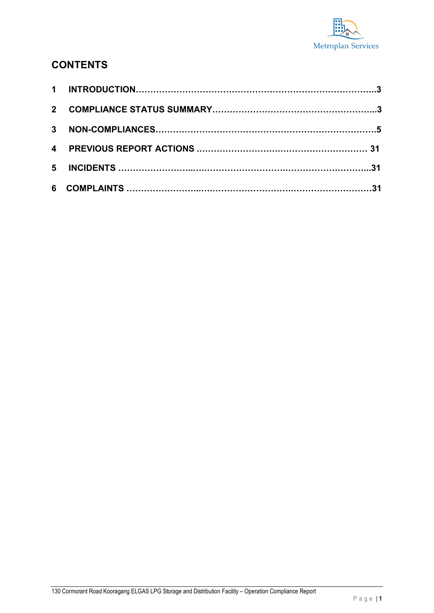

## **CONTENTS**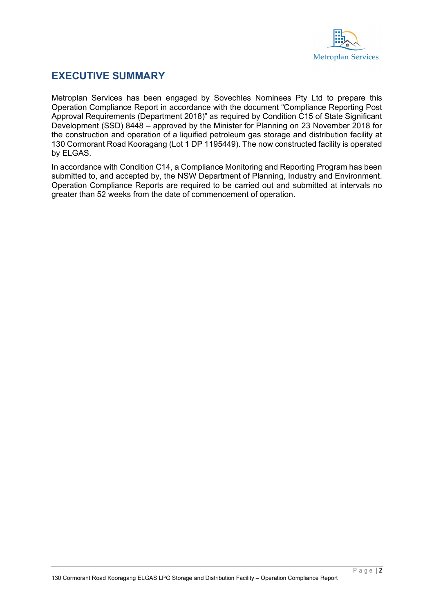

#### **EXECUTIVE SUMMARY**

Metroplan Services has been engaged by Sovechles Nominees Pty Ltd to prepare this Operation Compliance Report in accordance with the document "Compliance Reporting Post Approval Requirements (Department 2018)" as required by Condition C15 of State Significant Development (SSD) 8448 – approved by the Minister for Planning on 23 November 2018 for the construction and operation of a liquified petroleum gas storage and distribution facility at 130 Cormorant Road Kooragang (Lot 1 DP 1195449). The now constructed facility is operated by ELGAS.

In accordance with Condition C14, a Compliance Monitoring and Reporting Program has been submitted to, and accepted by, the NSW Department of Planning, Industry and Environment. Operation Compliance Reports are required to be carried out and submitted at intervals no greater than 52 weeks from the date of commencement of operation.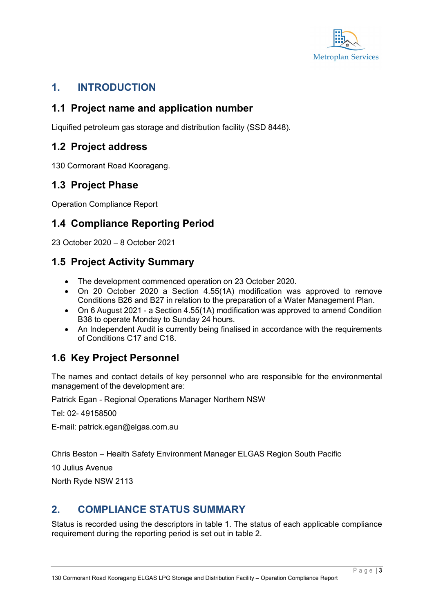

### **1. INTRODUCTION**

#### **1.1 Project name and application number**

Liquified petroleum gas storage and distribution facility (SSD 8448).

#### **1.2 Project address**

130 Cormorant Road Kooragang.

#### **1.3 Project Phase**

Operation Compliance Report

## **1.4 Compliance Reporting Period**

23 October 2020 – 8 October 2021

### **1.5 Project Activity Summary**

- The development commenced operation on 23 October 2020.
- On 20 October 2020 a Section 4.55(1A) modification was approved to remove Conditions B26 and B27 in relation to the preparation of a Water Management Plan.
- On 6 August 2021 a Section 4.55(1A) modification was approved to amend Condition B38 to operate Monday to Sunday 24 hours.
- An Independent Audit is currently being finalised in accordance with the requirements of Conditions C17 and C18.

# **1.6 Key Project Personnel**

The names and contact details of key personnel who are responsible for the environmental management of the development are:

Patrick Egan - Regional Operations Manager Northern NSW

Tel: 02- 49158500

E-mail: patrick.egan@elgas.com.au

Chris Beston – Health Safety Environment Manager ELGAS Region South Pacific

10 Julius Avenue

North Ryde NSW 2113

#### **2. COMPLIANCE STATUS SUMMARY**

Status is recorded using the descriptors in table 1. The status of each applicable compliance requirement during the reporting period is set out in table 2.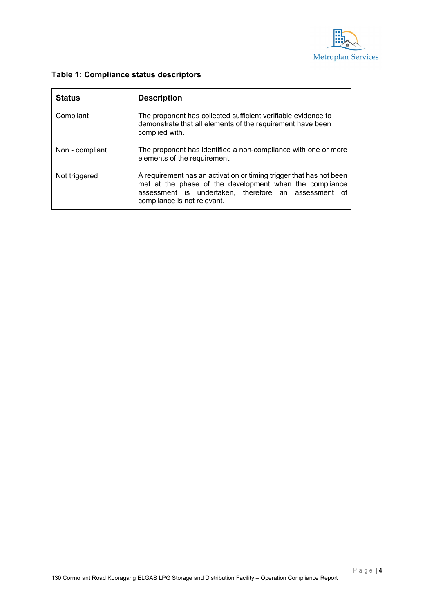

| <b>Status</b>   | <b>Description</b>                                                                                                                                                                                                    |
|-----------------|-----------------------------------------------------------------------------------------------------------------------------------------------------------------------------------------------------------------------|
| Compliant       | The proponent has collected sufficient verifiable evidence to<br>demonstrate that all elements of the requirement have been<br>complied with.                                                                         |
| Non - compliant | The proponent has identified a non-compliance with one or more<br>elements of the requirement.                                                                                                                        |
| Not triggered   | A requirement has an activation or timing trigger that has not been<br>met at the phase of the development when the compliance<br>assessment is undertaken, therefore an assessment of<br>compliance is not relevant. |

#### **Table 1: Compliance status descriptors**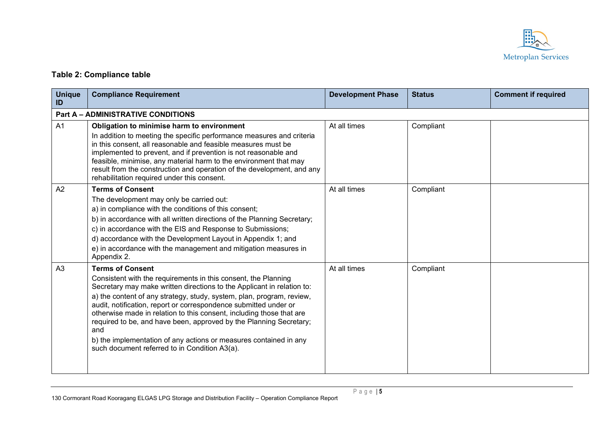

#### **Table 2: Compliance table**

| <b>Unique</b><br>ID | <b>Compliance Requirement</b>                                                                                                                                                                                                                                                                                                                                                                                                                                                                                                                                                               | <b>Development Phase</b> | <b>Status</b> | <b>Comment if required</b> |
|---------------------|---------------------------------------------------------------------------------------------------------------------------------------------------------------------------------------------------------------------------------------------------------------------------------------------------------------------------------------------------------------------------------------------------------------------------------------------------------------------------------------------------------------------------------------------------------------------------------------------|--------------------------|---------------|----------------------------|
|                     | <b>Part A - ADMINISTRATIVE CONDITIONS</b>                                                                                                                                                                                                                                                                                                                                                                                                                                                                                                                                                   |                          |               |                            |
| A1                  | Obligation to minimise harm to environment<br>In addition to meeting the specific performance measures and criteria<br>in this consent, all reasonable and feasible measures must be<br>implemented to prevent, and if prevention is not reasonable and<br>feasible, minimise, any material harm to the environment that may<br>result from the construction and operation of the development, and any<br>rehabilitation required under this consent.                                                                                                                                       | At all times             | Compliant     |                            |
| A2                  | <b>Terms of Consent</b><br>The development may only be carried out:<br>a) in compliance with the conditions of this consent;<br>b) in accordance with all written directions of the Planning Secretary;<br>c) in accordance with the EIS and Response to Submissions;<br>d) accordance with the Development Layout in Appendix 1; and<br>e) in accordance with the management and mitigation measures in<br>Appendix 2.                                                                                                                                                                     | At all times             | Compliant     |                            |
| A <sub>3</sub>      | <b>Terms of Consent</b><br>Consistent with the requirements in this consent, the Planning<br>Secretary may make written directions to the Applicant in relation to:<br>a) the content of any strategy, study, system, plan, program, review,<br>audit, notification, report or correspondence submitted under or<br>otherwise made in relation to this consent, including those that are<br>required to be, and have been, approved by the Planning Secretary;<br>and<br>b) the implementation of any actions or measures contained in any<br>such document referred to in Condition A3(a). | At all times             | Compliant     |                            |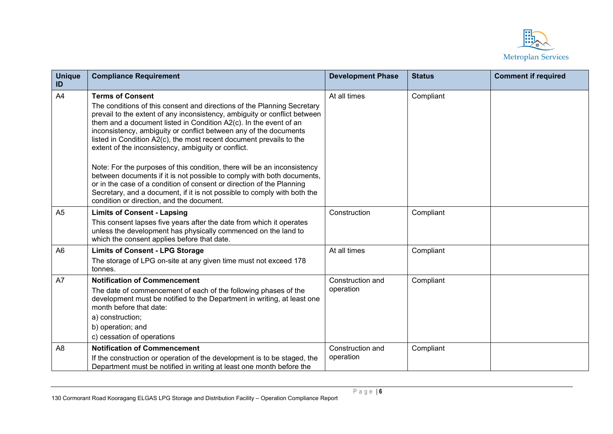

| <b>Unique</b><br>ID | <b>Compliance Requirement</b>                                                                                                                                                                                                                                                                                                                                                                                                                                                                                                                                                                                                                                                                                                                                                                                   | <b>Development Phase</b>      | <b>Status</b> | <b>Comment if required</b> |
|---------------------|-----------------------------------------------------------------------------------------------------------------------------------------------------------------------------------------------------------------------------------------------------------------------------------------------------------------------------------------------------------------------------------------------------------------------------------------------------------------------------------------------------------------------------------------------------------------------------------------------------------------------------------------------------------------------------------------------------------------------------------------------------------------------------------------------------------------|-------------------------------|---------------|----------------------------|
| A4                  | <b>Terms of Consent</b><br>The conditions of this consent and directions of the Planning Secretary<br>prevail to the extent of any inconsistency, ambiguity or conflict between<br>them and a document listed in Condition A2(c). In the event of an<br>inconsistency, ambiguity or conflict between any of the documents<br>listed in Condition A2(c), the most recent document prevails to the<br>extent of the inconsistency, ambiguity or conflict.<br>Note: For the purposes of this condition, there will be an inconsistency<br>between documents if it is not possible to comply with both documents,<br>or in the case of a condition of consent or direction of the Planning<br>Secretary, and a document, if it is not possible to comply with both the<br>condition or direction, and the document. | At all times                  | Compliant     |                            |
| A <sub>5</sub>      | <b>Limits of Consent - Lapsing</b><br>This consent lapses five years after the date from which it operates<br>unless the development has physically commenced on the land to<br>which the consent applies before that date.                                                                                                                                                                                                                                                                                                                                                                                                                                                                                                                                                                                     | Construction                  | Compliant     |                            |
| A <sub>6</sub>      | <b>Limits of Consent - LPG Storage</b><br>The storage of LPG on-site at any given time must not exceed 178<br>tonnes.                                                                                                                                                                                                                                                                                                                                                                                                                                                                                                                                                                                                                                                                                           | At all times                  | Compliant     |                            |
| A7                  | <b>Notification of Commencement</b><br>The date of commencement of each of the following phases of the<br>development must be notified to the Department in writing, at least one<br>month before that date:<br>a) construction;<br>b) operation; and<br>c) cessation of operations                                                                                                                                                                                                                                                                                                                                                                                                                                                                                                                             | Construction and<br>operation | Compliant     |                            |
| A <sub>8</sub>      | <b>Notification of Commencement</b><br>If the construction or operation of the development is to be staged, the<br>Department must be notified in writing at least one month before the                                                                                                                                                                                                                                                                                                                                                                                                                                                                                                                                                                                                                         | Construction and<br>operation | Compliant     |                            |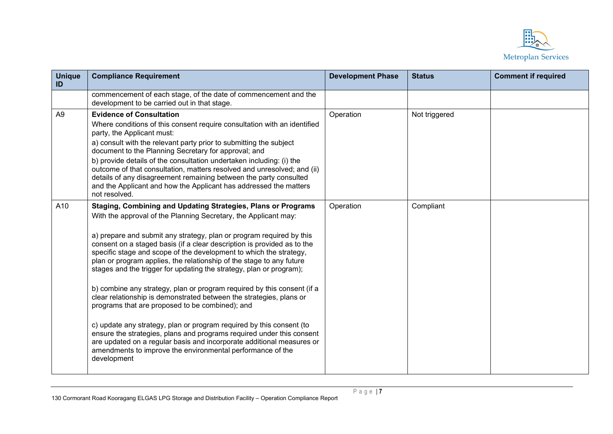

| <b>Unique</b><br>ID | <b>Compliance Requirement</b>                                                                                                                                                                                                                                                                                                                                                                                                                                                                                                                                                                                                                                                                                                                                                                                                                                                                                                                                                                                        | <b>Development Phase</b> | <b>Status</b> | <b>Comment if required</b> |
|---------------------|----------------------------------------------------------------------------------------------------------------------------------------------------------------------------------------------------------------------------------------------------------------------------------------------------------------------------------------------------------------------------------------------------------------------------------------------------------------------------------------------------------------------------------------------------------------------------------------------------------------------------------------------------------------------------------------------------------------------------------------------------------------------------------------------------------------------------------------------------------------------------------------------------------------------------------------------------------------------------------------------------------------------|--------------------------|---------------|----------------------------|
|                     | commencement of each stage, of the date of commencement and the<br>development to be carried out in that stage.                                                                                                                                                                                                                                                                                                                                                                                                                                                                                                                                                                                                                                                                                                                                                                                                                                                                                                      |                          |               |                            |
| A <sub>9</sub>      | <b>Evidence of Consultation</b><br>Where conditions of this consent require consultation with an identified<br>party, the Applicant must:<br>a) consult with the relevant party prior to submitting the subject<br>document to the Planning Secretary for approval; and<br>b) provide details of the consultation undertaken including: (i) the<br>outcome of that consultation, matters resolved and unresolved; and (ii)<br>details of any disagreement remaining between the party consulted<br>and the Applicant and how the Applicant has addressed the matters<br>not resolved.                                                                                                                                                                                                                                                                                                                                                                                                                                | Operation                | Not triggered |                            |
| A10                 | Staging, Combining and Updating Strategies, Plans or Programs<br>With the approval of the Planning Secretary, the Applicant may:<br>a) prepare and submit any strategy, plan or program required by this<br>consent on a staged basis (if a clear description is provided as to the<br>specific stage and scope of the development to which the strategy,<br>plan or program applies, the relationship of the stage to any future<br>stages and the trigger for updating the strategy, plan or program);<br>b) combine any strategy, plan or program required by this consent (if a<br>clear relationship is demonstrated between the strategies, plans or<br>programs that are proposed to be combined); and<br>c) update any strategy, plan or program required by this consent (to<br>ensure the strategies, plans and programs required under this consent<br>are updated on a regular basis and incorporate additional measures or<br>amendments to improve the environmental performance of the<br>development | Operation                | Compliant     |                            |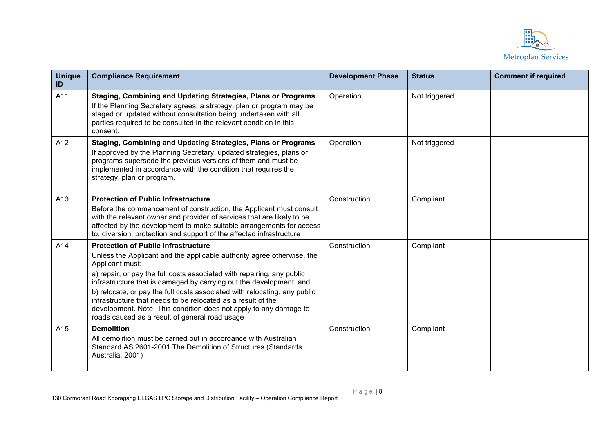

| <b>Unique</b><br>ID | <b>Compliance Requirement</b>                                                                                                                                                                                                                                                                                                                                                                                                                                                                                                                                | <b>Development Phase</b> | <b>Status</b> | <b>Comment if required</b> |
|---------------------|--------------------------------------------------------------------------------------------------------------------------------------------------------------------------------------------------------------------------------------------------------------------------------------------------------------------------------------------------------------------------------------------------------------------------------------------------------------------------------------------------------------------------------------------------------------|--------------------------|---------------|----------------------------|
| A11                 | Staging, Combining and Updating Strategies, Plans or Programs<br>If the Planning Secretary agrees, a strategy, plan or program may be<br>staged or updated without consultation being undertaken with all<br>parties required to be consulted in the relevant condition in this<br>consent.                                                                                                                                                                                                                                                                  | Operation                | Not triggered |                            |
| A12                 | Staging, Combining and Updating Strategies, Plans or Programs<br>If approved by the Planning Secretary, updated strategies, plans or<br>programs supersede the previous versions of them and must be<br>implemented in accordance with the condition that requires the<br>strategy, plan or program.                                                                                                                                                                                                                                                         | Operation                | Not triggered |                            |
| A13                 | <b>Protection of Public Infrastructure</b><br>Before the commencement of construction, the Applicant must consult<br>with the relevant owner and provider of services that are likely to be<br>affected by the development to make suitable arrangements for access<br>to, diversion, protection and support of the affected infrastructure                                                                                                                                                                                                                  | Construction             | Compliant     |                            |
| A14                 | <b>Protection of Public Infrastructure</b><br>Unless the Applicant and the applicable authority agree otherwise, the<br>Applicant must:<br>a) repair, or pay the full costs associated with repairing, any public<br>infrastructure that is damaged by carrying out the development; and<br>b) relocate, or pay the full costs associated with relocating, any public<br>infrastructure that needs to be relocated as a result of the<br>development. Note: This condition does not apply to any damage to<br>roads caused as a result of general road usage | Construction             | Compliant     |                            |
| A15                 | <b>Demolition</b><br>All demolition must be carried out in accordance with Australian<br>Standard AS 2601-2001 The Demolition of Structures (Standards<br>Australia, 2001)                                                                                                                                                                                                                                                                                                                                                                                   | Construction             | Compliant     |                            |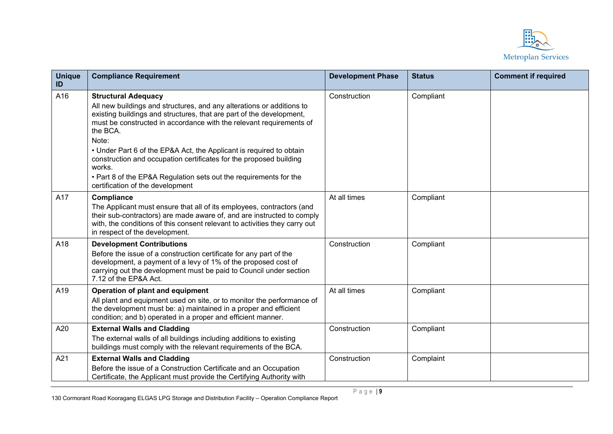

| <b>Unique</b><br>ID | <b>Compliance Requirement</b>                                                                                                                                                                                                                                                                                                                                                                                                                                                                                                           | <b>Development Phase</b> | <b>Status</b> | <b>Comment if required</b> |
|---------------------|-----------------------------------------------------------------------------------------------------------------------------------------------------------------------------------------------------------------------------------------------------------------------------------------------------------------------------------------------------------------------------------------------------------------------------------------------------------------------------------------------------------------------------------------|--------------------------|---------------|----------------------------|
| A16                 | <b>Structural Adequacy</b><br>All new buildings and structures, and any alterations or additions to<br>existing buildings and structures, that are part of the development,<br>must be constructed in accordance with the relevant requirements of<br>the BCA.<br>Note:<br>• Under Part 6 of the EP&A Act, the Applicant is required to obtain<br>construction and occupation certificates for the proposed building<br>works.<br>• Part 8 of the EP&A Regulation sets out the requirements for the<br>certification of the development | Construction             | Compliant     |                            |
| A17                 | Compliance<br>The Applicant must ensure that all of its employees, contractors (and<br>their sub-contractors) are made aware of, and are instructed to comply<br>with, the conditions of this consent relevant to activities they carry out<br>in respect of the development.                                                                                                                                                                                                                                                           | At all times             | Compliant     |                            |
| A18                 | <b>Development Contributions</b><br>Before the issue of a construction certificate for any part of the<br>development, a payment of a levy of 1% of the proposed cost of<br>carrying out the development must be paid to Council under section<br>7.12 of the EP&A Act.                                                                                                                                                                                                                                                                 | Construction             | Compliant     |                            |
| A19                 | Operation of plant and equipment<br>All plant and equipment used on site, or to monitor the performance of<br>the development must be: a) maintained in a proper and efficient<br>condition; and b) operated in a proper and efficient manner.                                                                                                                                                                                                                                                                                          | At all times             | Compliant     |                            |
| A20                 | <b>External Walls and Cladding</b><br>The external walls of all buildings including additions to existing<br>buildings must comply with the relevant requirements of the BCA.                                                                                                                                                                                                                                                                                                                                                           | Construction             | Compliant     |                            |
| A21                 | <b>External Walls and Cladding</b><br>Before the issue of a Construction Certificate and an Occupation<br>Certificate, the Applicant must provide the Certifying Authority with                                                                                                                                                                                                                                                                                                                                                         | Construction             | Complaint     |                            |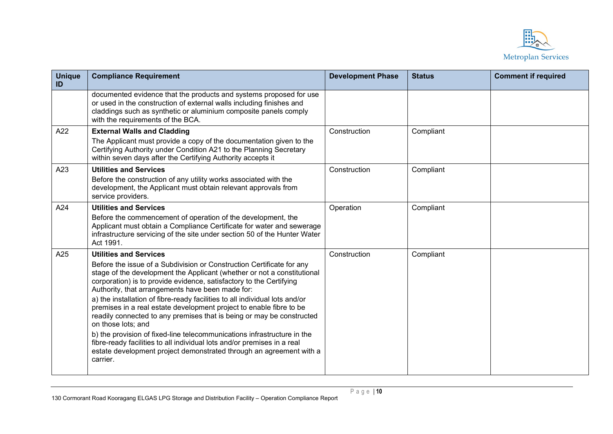

| <b>Unique</b><br>ID | <b>Compliance Requirement</b>                                                                                                                                                                                                                                                                                                                                                                                                                                                                                                                                                                                                                                                                                                                                                                              | <b>Development Phase</b> | <b>Status</b> | <b>Comment if required</b> |
|---------------------|------------------------------------------------------------------------------------------------------------------------------------------------------------------------------------------------------------------------------------------------------------------------------------------------------------------------------------------------------------------------------------------------------------------------------------------------------------------------------------------------------------------------------------------------------------------------------------------------------------------------------------------------------------------------------------------------------------------------------------------------------------------------------------------------------------|--------------------------|---------------|----------------------------|
|                     | documented evidence that the products and systems proposed for use<br>or used in the construction of external walls including finishes and<br>claddings such as synthetic or aluminium composite panels comply<br>with the requirements of the BCA.                                                                                                                                                                                                                                                                                                                                                                                                                                                                                                                                                        |                          |               |                            |
| A22                 | <b>External Walls and Cladding</b><br>The Applicant must provide a copy of the documentation given to the<br>Certifying Authority under Condition A21 to the Planning Secretary<br>within seven days after the Certifying Authority accepts it                                                                                                                                                                                                                                                                                                                                                                                                                                                                                                                                                             | Construction             | Compliant     |                            |
| A23                 | <b>Utilities and Services</b><br>Before the construction of any utility works associated with the<br>development, the Applicant must obtain relevant approvals from<br>service providers.                                                                                                                                                                                                                                                                                                                                                                                                                                                                                                                                                                                                                  | Construction             | Compliant     |                            |
| A24                 | <b>Utilities and Services</b><br>Before the commencement of operation of the development, the<br>Applicant must obtain a Compliance Certificate for water and sewerage<br>infrastructure servicing of the site under section 50 of the Hunter Water<br>Act 1991.                                                                                                                                                                                                                                                                                                                                                                                                                                                                                                                                           | Operation                | Compliant     |                            |
| A25                 | <b>Utilities and Services</b><br>Before the issue of a Subdivision or Construction Certificate for any<br>stage of the development the Applicant (whether or not a constitutional<br>corporation) is to provide evidence, satisfactory to the Certifying<br>Authority, that arrangements have been made for:<br>a) the installation of fibre-ready facilities to all individual lots and/or<br>premises in a real estate development project to enable fibre to be<br>readily connected to any premises that is being or may be constructed<br>on those lots; and<br>b) the provision of fixed-line telecommunications infrastructure in the<br>fibre-ready facilities to all individual lots and/or premises in a real<br>estate development project demonstrated through an agreement with a<br>carrier. | Construction             | Compliant     |                            |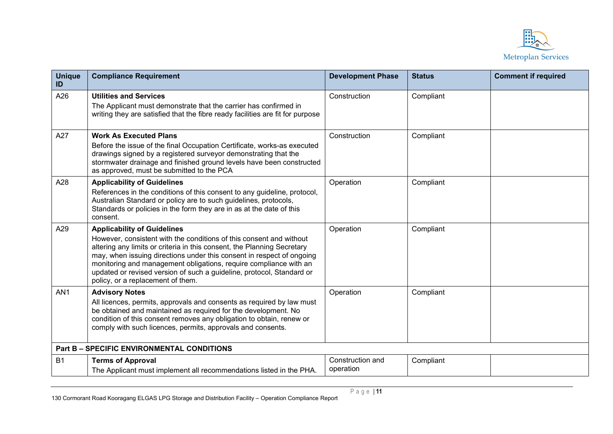

| <b>Unique</b><br>ID | <b>Compliance Requirement</b>                                                                                                                                                                                                                                                                                                                                                                                                                    | <b>Development Phase</b>      | <b>Status</b> | <b>Comment if required</b> |
|---------------------|--------------------------------------------------------------------------------------------------------------------------------------------------------------------------------------------------------------------------------------------------------------------------------------------------------------------------------------------------------------------------------------------------------------------------------------------------|-------------------------------|---------------|----------------------------|
| A26                 | <b>Utilities and Services</b><br>The Applicant must demonstrate that the carrier has confirmed in<br>writing they are satisfied that the fibre ready facilities are fit for purpose                                                                                                                                                                                                                                                              | Construction                  | Compliant     |                            |
| A27                 | <b>Work As Executed Plans</b><br>Before the issue of the final Occupation Certificate, works-as executed<br>drawings signed by a registered surveyor demonstrating that the<br>stormwater drainage and finished ground levels have been constructed<br>as approved, must be submitted to the PCA                                                                                                                                                 | Construction                  | Compliant     |                            |
| A28                 | <b>Applicability of Guidelines</b><br>References in the conditions of this consent to any guideline, protocol,<br>Australian Standard or policy are to such guidelines, protocols,<br>Standards or policies in the form they are in as at the date of this<br>consent.                                                                                                                                                                           | Operation                     | Compliant     |                            |
| A29                 | <b>Applicability of Guidelines</b><br>However, consistent with the conditions of this consent and without<br>altering any limits or criteria in this consent, the Planning Secretary<br>may, when issuing directions under this consent in respect of ongoing<br>monitoring and management obligations, require compliance with an<br>updated or revised version of such a guideline, protocol, Standard or<br>policy, or a replacement of them. | Operation                     | Compliant     |                            |
| AN <sub>1</sub>     | <b>Advisory Notes</b><br>All licences, permits, approvals and consents as required by law must<br>be obtained and maintained as required for the development. No<br>condition of this consent removes any obligation to obtain, renew or<br>comply with such licences, permits, approvals and consents.                                                                                                                                          | Operation                     | Compliant     |                            |
|                     | <b>Part B - SPECIFIC ENVIRONMENTAL CONDITIONS</b>                                                                                                                                                                                                                                                                                                                                                                                                |                               |               |                            |
| <b>B1</b>           | <b>Terms of Approval</b><br>The Applicant must implement all recommendations listed in the PHA.                                                                                                                                                                                                                                                                                                                                                  | Construction and<br>operation | Compliant     |                            |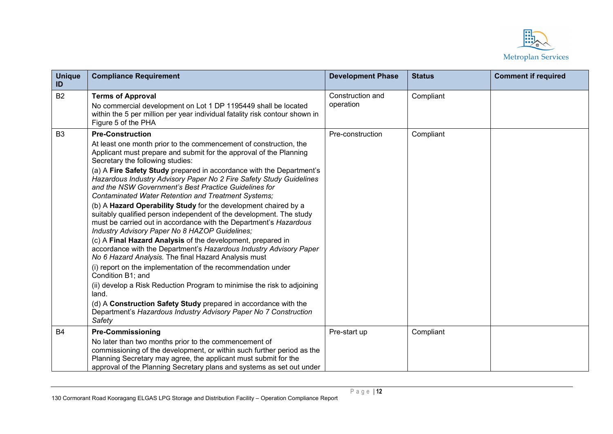

| <b>Unique</b><br>ID | <b>Compliance Requirement</b>                                                                                                                                                                                                                                                                                                                                                                                                                                                                                                                                                                                                                                                                                                                                                                                                                                                                                                                                                                                                                                                     | <b>Development Phase</b>      | <b>Status</b> | <b>Comment if required</b> |
|---------------------|-----------------------------------------------------------------------------------------------------------------------------------------------------------------------------------------------------------------------------------------------------------------------------------------------------------------------------------------------------------------------------------------------------------------------------------------------------------------------------------------------------------------------------------------------------------------------------------------------------------------------------------------------------------------------------------------------------------------------------------------------------------------------------------------------------------------------------------------------------------------------------------------------------------------------------------------------------------------------------------------------------------------------------------------------------------------------------------|-------------------------------|---------------|----------------------------|
| <b>B2</b>           | <b>Terms of Approval</b><br>No commercial development on Lot 1 DP 1195449 shall be located<br>within the 5 per million per year individual fatality risk contour shown in<br>Figure 5 of the PHA                                                                                                                                                                                                                                                                                                                                                                                                                                                                                                                                                                                                                                                                                                                                                                                                                                                                                  | Construction and<br>operation | Compliant     |                            |
| B <sub>3</sub>      | <b>Pre-Construction</b>                                                                                                                                                                                                                                                                                                                                                                                                                                                                                                                                                                                                                                                                                                                                                                                                                                                                                                                                                                                                                                                           | Pre-construction              | Compliant     |                            |
|                     | At least one month prior to the commencement of construction, the<br>Applicant must prepare and submit for the approval of the Planning<br>Secretary the following studies:<br>(a) A Fire Safety Study prepared in accordance with the Department's<br>Hazardous Industry Advisory Paper No 2 Fire Safety Study Guidelines<br>and the NSW Government's Best Practice Guidelines for<br>Contaminated Water Retention and Treatment Systems;<br>(b) A Hazard Operability Study for the development chaired by a<br>suitably qualified person independent of the development. The study<br>must be carried out in accordance with the Department's Hazardous<br>Industry Advisory Paper No 8 HAZOP Guidelines;<br>(c) A Final Hazard Analysis of the development, prepared in<br>accordance with the Department's Hazardous Industry Advisory Paper<br>No 6 Hazard Analysis. The final Hazard Analysis must<br>(i) report on the implementation of the recommendation under<br>Condition B1; and<br>(ii) develop a Risk Reduction Program to minimise the risk to adjoining<br>land. |                               |               |                            |
|                     | (d) A Construction Safety Study prepared in accordance with the<br>Department's Hazardous Industry Advisory Paper No 7 Construction<br>Safety                                                                                                                                                                                                                                                                                                                                                                                                                                                                                                                                                                                                                                                                                                                                                                                                                                                                                                                                     |                               |               |                            |
| <b>B4</b>           | <b>Pre-Commissioning</b><br>No later than two months prior to the commencement of<br>commissioning of the development, or within such further period as the<br>Planning Secretary may agree, the applicant must submit for the<br>approval of the Planning Secretary plans and systems as set out under                                                                                                                                                                                                                                                                                                                                                                                                                                                                                                                                                                                                                                                                                                                                                                           | Pre-start up                  | Compliant     |                            |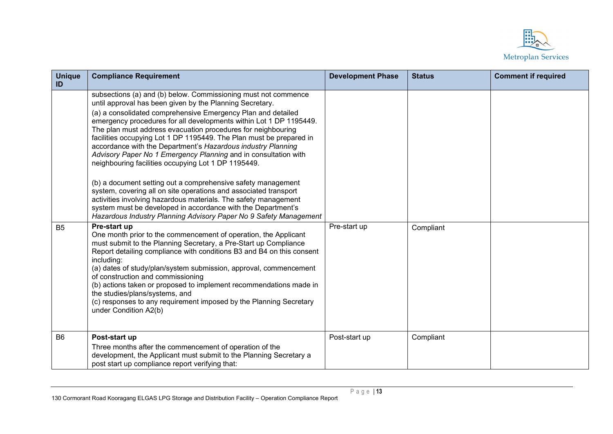

| <b>Unique</b><br>ID | <b>Compliance Requirement</b>                                                                                                                                                                                                                                                                                                                                                                                                                                                                                                                                                                                                                                                                                                                                                                                                                                                                                                                 | <b>Development Phase</b> | <b>Status</b> | <b>Comment if required</b> |
|---------------------|-----------------------------------------------------------------------------------------------------------------------------------------------------------------------------------------------------------------------------------------------------------------------------------------------------------------------------------------------------------------------------------------------------------------------------------------------------------------------------------------------------------------------------------------------------------------------------------------------------------------------------------------------------------------------------------------------------------------------------------------------------------------------------------------------------------------------------------------------------------------------------------------------------------------------------------------------|--------------------------|---------------|----------------------------|
|                     | subsections (a) and (b) below. Commissioning must not commence<br>until approval has been given by the Planning Secretary.<br>(a) a consolidated comprehensive Emergency Plan and detailed<br>emergency procedures for all developments within Lot 1 DP 1195449.<br>The plan must address evacuation procedures for neighbouring<br>facilities occupying Lot 1 DP 1195449. The Plan must be prepared in<br>accordance with the Department's Hazardous industry Planning<br>Advisory Paper No 1 Emergency Planning and in consultation with<br>neighbouring facilities occupying Lot 1 DP 1195449.<br>(b) a document setting out a comprehensive safety management<br>system, covering all on site operations and associated transport<br>activities involving hazardous materials. The safety management<br>system must be developed in accordance with the Department's<br>Hazardous Industry Planning Advisory Paper No 9 Safety Management |                          |               |                            |
| B <sub>5</sub>      | Pre-start up<br>One month prior to the commencement of operation, the Applicant<br>must submit to the Planning Secretary, a Pre-Start up Compliance<br>Report detailing compliance with conditions B3 and B4 on this consent<br>including:<br>(a) dates of study/plan/system submission, approval, commencement<br>of construction and commissioning<br>(b) actions taken or proposed to implement recommendations made in<br>the studies/plans/systems, and<br>(c) responses to any requirement imposed by the Planning Secretary<br>under Condition A2(b)                                                                                                                                                                                                                                                                                                                                                                                   | Pre-start up             | Compliant     |                            |
| <b>B6</b>           | Post-start up<br>Three months after the commencement of operation of the<br>development, the Applicant must submit to the Planning Secretary a<br>post start up compliance report verifying that:                                                                                                                                                                                                                                                                                                                                                                                                                                                                                                                                                                                                                                                                                                                                             | Post-start up            | Compliant     |                            |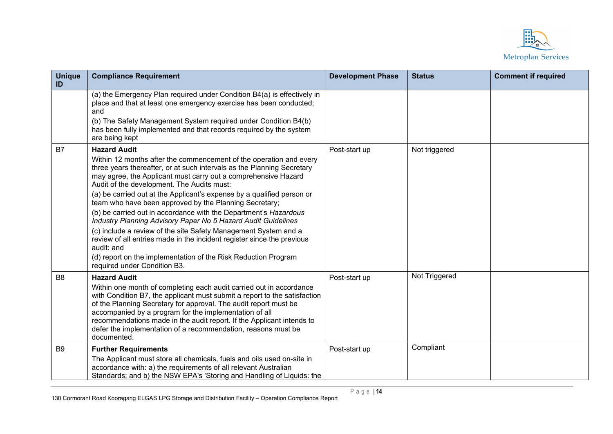

| <b>Unique</b><br>ID | <b>Compliance Requirement</b>                                                                                                                                                                                                                                                                                                                                                                                                           | <b>Development Phase</b> | <b>Status</b> | <b>Comment if required</b> |
|---------------------|-----------------------------------------------------------------------------------------------------------------------------------------------------------------------------------------------------------------------------------------------------------------------------------------------------------------------------------------------------------------------------------------------------------------------------------------|--------------------------|---------------|----------------------------|
|                     | (a) the Emergency Plan required under Condition B4(a) is effectively in<br>place and that at least one emergency exercise has been conducted;<br>and<br>(b) The Safety Management System required under Condition B4(b)<br>has been fully implemented and that records required by the system<br>are being kept                                                                                                                         |                          |               |                            |
| B7                  | <b>Hazard Audit</b>                                                                                                                                                                                                                                                                                                                                                                                                                     | Post-start up            | Not triggered |                            |
|                     | Within 12 months after the commencement of the operation and every<br>three years thereafter, or at such intervals as the Planning Secretary<br>may agree, the Applicant must carry out a comprehensive Hazard<br>Audit of the development. The Audits must:                                                                                                                                                                            |                          |               |                            |
|                     | (a) be carried out at the Applicant's expense by a qualified person or<br>team who have been approved by the Planning Secretary;                                                                                                                                                                                                                                                                                                        |                          |               |                            |
|                     | (b) be carried out in accordance with the Department's Hazardous<br>Industry Planning Advisory Paper No 5 Hazard Audit Guidelines                                                                                                                                                                                                                                                                                                       |                          |               |                            |
|                     | (c) include a review of the site Safety Management System and a<br>review of all entries made in the incident register since the previous<br>audit: and                                                                                                                                                                                                                                                                                 |                          |               |                            |
|                     | (d) report on the implementation of the Risk Reduction Program<br>required under Condition B3.                                                                                                                                                                                                                                                                                                                                          |                          |               |                            |
| B <sub>8</sub>      | <b>Hazard Audit</b>                                                                                                                                                                                                                                                                                                                                                                                                                     | Post-start up            | Not Triggered |                            |
|                     | Within one month of completing each audit carried out in accordance<br>with Condition B7, the applicant must submit a report to the satisfaction<br>of the Planning Secretary for approval. The audit report must be<br>accompanied by a program for the implementation of all<br>recommendations made in the audit report. If the Applicant intends to<br>defer the implementation of a recommendation, reasons must be<br>documented. |                          |               |                            |
| <b>B9</b>           | <b>Further Requirements</b>                                                                                                                                                                                                                                                                                                                                                                                                             | Post-start up            | Compliant     |                            |
|                     | The Applicant must store all chemicals, fuels and oils used on-site in<br>accordance with: a) the requirements of all relevant Australian<br>Standards; and b) the NSW EPA's 'Storing and Handling of Liquids: the                                                                                                                                                                                                                      |                          |               |                            |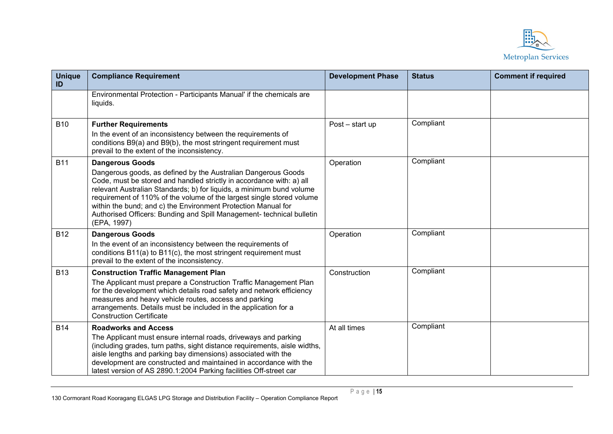

| <b>Unique</b><br>ID | <b>Compliance Requirement</b>                                                                                                                                                                                                                                                                                                                                                                                                                                             | <b>Development Phase</b> | <b>Status</b> | <b>Comment if required</b> |
|---------------------|---------------------------------------------------------------------------------------------------------------------------------------------------------------------------------------------------------------------------------------------------------------------------------------------------------------------------------------------------------------------------------------------------------------------------------------------------------------------------|--------------------------|---------------|----------------------------|
|                     | Environmental Protection - Participants Manual' if the chemicals are<br>liquids.                                                                                                                                                                                                                                                                                                                                                                                          |                          |               |                            |
| <b>B10</b>          | <b>Further Requirements</b><br>In the event of an inconsistency between the requirements of<br>conditions B9(a) and B9(b), the most stringent requirement must<br>prevail to the extent of the inconsistency.                                                                                                                                                                                                                                                             | Post - start up          | Compliant     |                            |
| <b>B11</b>          | <b>Dangerous Goods</b><br>Dangerous goods, as defined by the Australian Dangerous Goods<br>Code, must be stored and handled strictly in accordance with: a) all<br>relevant Australian Standards; b) for liquids, a minimum bund volume<br>requirement of 110% of the volume of the largest single stored volume<br>within the bund; and c) the Environment Protection Manual for<br>Authorised Officers: Bunding and Spill Management- technical bulletin<br>(EPA, 1997) | Operation                | Compliant     |                            |
| <b>B12</b>          | <b>Dangerous Goods</b><br>In the event of an inconsistency between the requirements of<br>conditions B11(a) to B11(c), the most stringent requirement must<br>prevail to the extent of the inconsistency.                                                                                                                                                                                                                                                                 | Operation                | Compliant     |                            |
| <b>B13</b>          | <b>Construction Traffic Management Plan</b><br>The Applicant must prepare a Construction Traffic Management Plan<br>for the development which details road safety and network efficiency<br>measures and heavy vehicle routes, access and parking<br>arrangements. Details must be included in the application for a<br><b>Construction Certificate</b>                                                                                                                   | Construction             | Compliant     |                            |
| <b>B14</b>          | <b>Roadworks and Access</b><br>The Applicant must ensure internal roads, driveways and parking<br>(including grades, turn paths, sight distance requirements, aisle widths,<br>aisle lengths and parking bay dimensions) associated with the<br>development are constructed and maintained in accordance with the<br>latest version of AS 2890.1:2004 Parking facilities Off-street car                                                                                   | At all times             | Compliant     |                            |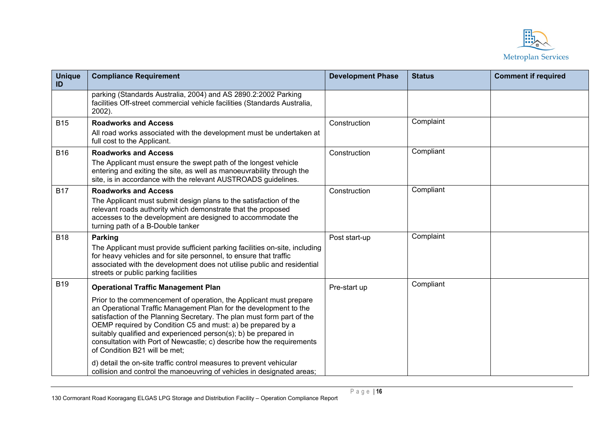

| <b>Unique</b><br>ID | <b>Compliance Requirement</b>                                                                                                                                                                                                                                                                                                                                                                                                                                 | <b>Development Phase</b> | <b>Status</b> | <b>Comment if required</b> |
|---------------------|---------------------------------------------------------------------------------------------------------------------------------------------------------------------------------------------------------------------------------------------------------------------------------------------------------------------------------------------------------------------------------------------------------------------------------------------------------------|--------------------------|---------------|----------------------------|
|                     | parking (Standards Australia, 2004) and AS 2890.2:2002 Parking<br>facilities Off-street commercial vehicle facilities (Standards Australia,<br>2002).                                                                                                                                                                                                                                                                                                         |                          |               |                            |
| <b>B15</b>          | <b>Roadworks and Access</b><br>All road works associated with the development must be undertaken at<br>full cost to the Applicant.                                                                                                                                                                                                                                                                                                                            | Construction             | Complaint     |                            |
| <b>B16</b>          | <b>Roadworks and Access</b><br>The Applicant must ensure the swept path of the longest vehicle<br>entering and exiting the site, as well as manoeuvrability through the<br>site, is in accordance with the relevant AUSTROADS guidelines.                                                                                                                                                                                                                     | Construction             | Compliant     |                            |
| <b>B17</b>          | <b>Roadworks and Access</b><br>The Applicant must submit design plans to the satisfaction of the<br>relevant roads authority which demonstrate that the proposed<br>accesses to the development are designed to accommodate the<br>turning path of a B-Double tanker                                                                                                                                                                                          | Construction             | Compliant     |                            |
| <b>B18</b>          | Parking<br>The Applicant must provide sufficient parking facilities on-site, including<br>for heavy vehicles and for site personnel, to ensure that traffic<br>associated with the development does not utilise public and residential<br>streets or public parking facilities                                                                                                                                                                                | Post start-up            | Complaint     |                            |
| <b>B19</b>          | <b>Operational Traffic Management Plan</b>                                                                                                                                                                                                                                                                                                                                                                                                                    | Pre-start up             | Compliant     |                            |
|                     | Prior to the commencement of operation, the Applicant must prepare<br>an Operational Traffic Management Plan for the development to the<br>satisfaction of the Planning Secretary. The plan must form part of the<br>OEMP required by Condition C5 and must: a) be prepared by a<br>suitably qualified and experienced person(s); b) be prepared in<br>consultation with Port of Newcastle; c) describe how the requirements<br>of Condition B21 will be met; |                          |               |                            |
|                     | d) detail the on-site traffic control measures to prevent vehicular<br>collision and control the manoeuvring of vehicles in designated areas;                                                                                                                                                                                                                                                                                                                 |                          |               |                            |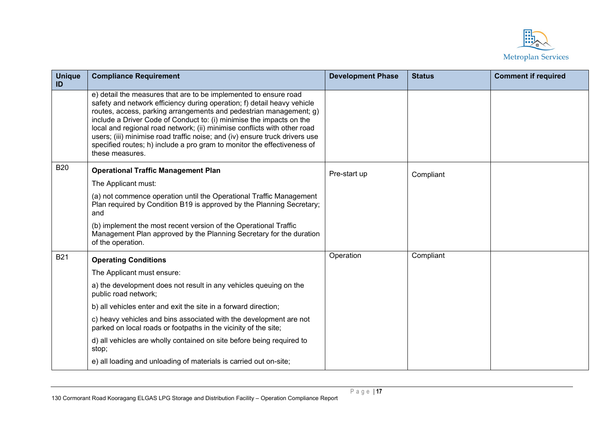

| <b>Unique</b><br>ID | <b>Compliance Requirement</b>                                                                                                                                                                                                                                                                                                                                                                                                                                                                                                                      | <b>Development Phase</b> | <b>Status</b> | <b>Comment if required</b> |
|---------------------|----------------------------------------------------------------------------------------------------------------------------------------------------------------------------------------------------------------------------------------------------------------------------------------------------------------------------------------------------------------------------------------------------------------------------------------------------------------------------------------------------------------------------------------------------|--------------------------|---------------|----------------------------|
|                     | e) detail the measures that are to be implemented to ensure road<br>safety and network efficiency during operation; f) detail heavy vehicle<br>routes, access, parking arrangements and pedestrian management; g)<br>include a Driver Code of Conduct to: (i) minimise the impacts on the<br>local and regional road network; (ii) minimise conflicts with other road<br>users; (iii) minimise road traffic noise; and (iv) ensure truck drivers use<br>specified routes; h) include a pro gram to monitor the effectiveness of<br>these measures. |                          |               |                            |
| <b>B20</b>          | <b>Operational Traffic Management Plan</b>                                                                                                                                                                                                                                                                                                                                                                                                                                                                                                         | Pre-start up             | Compliant     |                            |
|                     | The Applicant must:                                                                                                                                                                                                                                                                                                                                                                                                                                                                                                                                |                          |               |                            |
|                     | (a) not commence operation until the Operational Traffic Management<br>Plan required by Condition B19 is approved by the Planning Secretary;<br>and                                                                                                                                                                                                                                                                                                                                                                                                |                          |               |                            |
|                     | (b) implement the most recent version of the Operational Traffic<br>Management Plan approved by the Planning Secretary for the duration<br>of the operation.                                                                                                                                                                                                                                                                                                                                                                                       |                          |               |                            |
| <b>B21</b>          | <b>Operating Conditions</b>                                                                                                                                                                                                                                                                                                                                                                                                                                                                                                                        | Operation                | Compliant     |                            |
|                     | The Applicant must ensure:                                                                                                                                                                                                                                                                                                                                                                                                                                                                                                                         |                          |               |                            |
|                     | a) the development does not result in any vehicles queuing on the<br>public road network;                                                                                                                                                                                                                                                                                                                                                                                                                                                          |                          |               |                            |
|                     | b) all vehicles enter and exit the site in a forward direction;                                                                                                                                                                                                                                                                                                                                                                                                                                                                                    |                          |               |                            |
|                     | c) heavy vehicles and bins associated with the development are not<br>parked on local roads or footpaths in the vicinity of the site;                                                                                                                                                                                                                                                                                                                                                                                                              |                          |               |                            |
|                     | d) all vehicles are wholly contained on site before being required to<br>stop;                                                                                                                                                                                                                                                                                                                                                                                                                                                                     |                          |               |                            |
|                     | e) all loading and unloading of materials is carried out on-site;                                                                                                                                                                                                                                                                                                                                                                                                                                                                                  |                          |               |                            |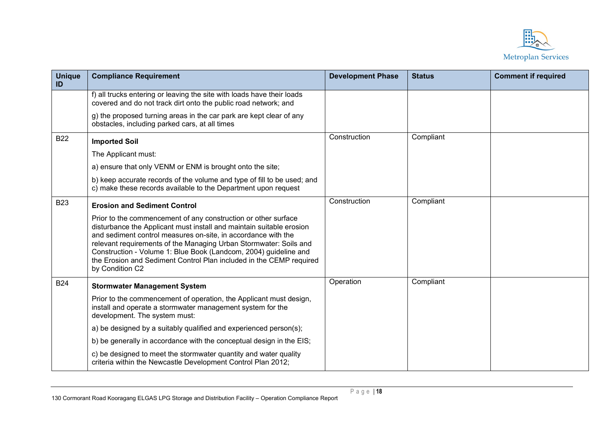

| <b>Unique</b><br>ID | <b>Compliance Requirement</b>                                                                                                                                                                                                                                                                                                                                                                                                              | <b>Development Phase</b> | <b>Status</b> | <b>Comment if required</b> |
|---------------------|--------------------------------------------------------------------------------------------------------------------------------------------------------------------------------------------------------------------------------------------------------------------------------------------------------------------------------------------------------------------------------------------------------------------------------------------|--------------------------|---------------|----------------------------|
|                     | f) all trucks entering or leaving the site with loads have their loads<br>covered and do not track dirt onto the public road network; and                                                                                                                                                                                                                                                                                                  |                          |               |                            |
|                     | g) the proposed turning areas in the car park are kept clear of any<br>obstacles, including parked cars, at all times                                                                                                                                                                                                                                                                                                                      |                          |               |                            |
| <b>B22</b>          | <b>Imported Soil</b>                                                                                                                                                                                                                                                                                                                                                                                                                       | Construction             | Compliant     |                            |
|                     | The Applicant must:                                                                                                                                                                                                                                                                                                                                                                                                                        |                          |               |                            |
|                     | a) ensure that only VENM or ENM is brought onto the site;                                                                                                                                                                                                                                                                                                                                                                                  |                          |               |                            |
|                     | b) keep accurate records of the volume and type of fill to be used; and<br>c) make these records available to the Department upon request                                                                                                                                                                                                                                                                                                  |                          |               |                            |
| <b>B23</b>          | <b>Erosion and Sediment Control</b>                                                                                                                                                                                                                                                                                                                                                                                                        | Construction             | Compliant     |                            |
|                     | Prior to the commencement of any construction or other surface<br>disturbance the Applicant must install and maintain suitable erosion<br>and sediment control measures on-site, in accordance with the<br>relevant requirements of the Managing Urban Stormwater: Soils and<br>Construction - Volume 1: Blue Book (Landcom, 2004) guideline and<br>the Erosion and Sediment Control Plan included in the CEMP required<br>by Condition C2 |                          |               |                            |
| <b>B24</b>          | <b>Stormwater Management System</b>                                                                                                                                                                                                                                                                                                                                                                                                        | Operation                | Compliant     |                            |
|                     | Prior to the commencement of operation, the Applicant must design,<br>install and operate a stormwater management system for the<br>development. The system must:                                                                                                                                                                                                                                                                          |                          |               |                            |
|                     | a) be designed by a suitably qualified and experienced person(s);                                                                                                                                                                                                                                                                                                                                                                          |                          |               |                            |
|                     | b) be generally in accordance with the conceptual design in the EIS;                                                                                                                                                                                                                                                                                                                                                                       |                          |               |                            |
|                     | c) be designed to meet the stormwater quantity and water quality<br>criteria within the Newcastle Development Control Plan 2012;                                                                                                                                                                                                                                                                                                           |                          |               |                            |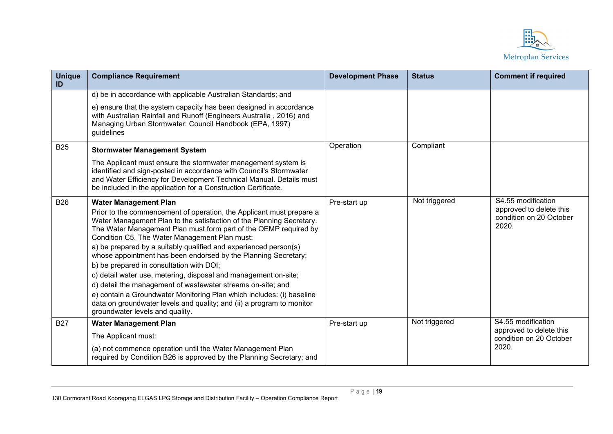

| <b>Unique</b><br>ID | <b>Compliance Requirement</b>                                                                                                                                                                                                                                                                                                                                                                                                                                                                                                                                                                                                                                                                                                                                                                              | <b>Development Phase</b> | <b>Status</b> | <b>Comment if required</b>                                                        |
|---------------------|------------------------------------------------------------------------------------------------------------------------------------------------------------------------------------------------------------------------------------------------------------------------------------------------------------------------------------------------------------------------------------------------------------------------------------------------------------------------------------------------------------------------------------------------------------------------------------------------------------------------------------------------------------------------------------------------------------------------------------------------------------------------------------------------------------|--------------------------|---------------|-----------------------------------------------------------------------------------|
|                     | d) be in accordance with applicable Australian Standards; and                                                                                                                                                                                                                                                                                                                                                                                                                                                                                                                                                                                                                                                                                                                                              |                          |               |                                                                                   |
|                     | e) ensure that the system capacity has been designed in accordance<br>with Australian Rainfall and Runoff (Engineers Australia, 2016) and<br>Managing Urban Stormwater: Council Handbook (EPA, 1997)<br>guidelines                                                                                                                                                                                                                                                                                                                                                                                                                                                                                                                                                                                         |                          |               |                                                                                   |
| <b>B25</b>          | <b>Stormwater Management System</b>                                                                                                                                                                                                                                                                                                                                                                                                                                                                                                                                                                                                                                                                                                                                                                        | Operation                | Compliant     |                                                                                   |
|                     | The Applicant must ensure the stormwater management system is<br>identified and sign-posted in accordance with Council's Stormwater<br>and Water Efficiency for Development Technical Manual. Details must<br>be included in the application for a Construction Certificate.                                                                                                                                                                                                                                                                                                                                                                                                                                                                                                                               |                          |               |                                                                                   |
| <b>B26</b>          | <b>Water Management Plan</b><br>Prior to the commencement of operation, the Applicant must prepare a<br>Water Management Plan to the satisfaction of the Planning Secretary.<br>The Water Management Plan must form part of the OEMP required by<br>Condition C5. The Water Management Plan must:<br>a) be prepared by a suitably qualified and experienced person(s)<br>whose appointment has been endorsed by the Planning Secretary;<br>b) be prepared in consultation with DOI;<br>c) detail water use, metering, disposal and management on-site;<br>d) detail the management of wastewater streams on-site; and<br>e) contain a Groundwater Monitoring Plan which includes: (i) baseline<br>data on groundwater levels and quality; and (ii) a program to monitor<br>groundwater levels and quality. | Pre-start up             | Not triggered | S4.55 modification<br>approved to delete this<br>condition on 20 October<br>2020. |
| <b>B27</b>          | <b>Water Management Plan</b><br>The Applicant must:<br>(a) not commence operation until the Water Management Plan<br>required by Condition B26 is approved by the Planning Secretary; and                                                                                                                                                                                                                                                                                                                                                                                                                                                                                                                                                                                                                  | Pre-start up             | Not triggered | S4.55 modification<br>approved to delete this<br>condition on 20 October<br>2020. |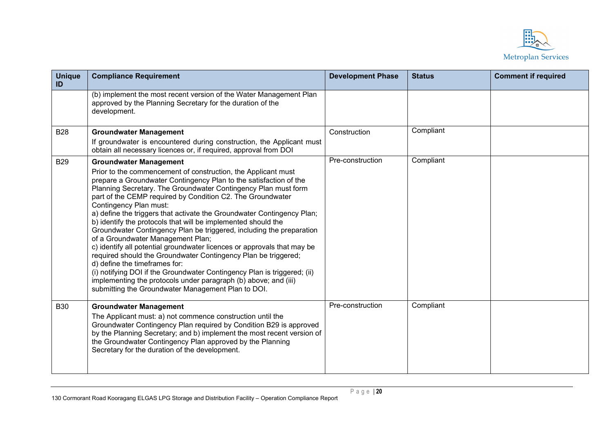

| <b>Unique</b><br>ID | <b>Compliance Requirement</b>                                                                                                                                                                                                                                                                                                                                                                                                                                                                                                                                                                                                                                                                                                                                                                                                                                                                                                                                            | <b>Development Phase</b> | <b>Status</b> | <b>Comment if required</b> |
|---------------------|--------------------------------------------------------------------------------------------------------------------------------------------------------------------------------------------------------------------------------------------------------------------------------------------------------------------------------------------------------------------------------------------------------------------------------------------------------------------------------------------------------------------------------------------------------------------------------------------------------------------------------------------------------------------------------------------------------------------------------------------------------------------------------------------------------------------------------------------------------------------------------------------------------------------------------------------------------------------------|--------------------------|---------------|----------------------------|
|                     | (b) implement the most recent version of the Water Management Plan<br>approved by the Planning Secretary for the duration of the<br>development.                                                                                                                                                                                                                                                                                                                                                                                                                                                                                                                                                                                                                                                                                                                                                                                                                         |                          |               |                            |
| <b>B28</b>          | <b>Groundwater Management</b><br>If groundwater is encountered during construction, the Applicant must<br>obtain all necessary licences or, if required, approval from DOI                                                                                                                                                                                                                                                                                                                                                                                                                                                                                                                                                                                                                                                                                                                                                                                               | Construction             | Compliant     |                            |
| <b>B29</b>          | <b>Groundwater Management</b><br>Prior to the commencement of construction, the Applicant must<br>prepare a Groundwater Contingency Plan to the satisfaction of the<br>Planning Secretary. The Groundwater Contingency Plan must form<br>part of the CEMP required by Condition C2. The Groundwater<br>Contingency Plan must:<br>a) define the triggers that activate the Groundwater Contingency Plan;<br>b) identify the protocols that will be implemented should the<br>Groundwater Contingency Plan be triggered, including the preparation<br>of a Groundwater Management Plan;<br>c) identify all potential groundwater licences or approvals that may be<br>required should the Groundwater Contingency Plan be triggered;<br>d) define the timeframes for:<br>(i) notifying DOI if the Groundwater Contingency Plan is triggered; (ii)<br>implementing the protocols under paragraph (b) above; and (iii)<br>submitting the Groundwater Management Plan to DOI. | Pre-construction         | Compliant     |                            |
| <b>B30</b>          | <b>Groundwater Management</b><br>The Applicant must: a) not commence construction until the<br>Groundwater Contingency Plan required by Condition B29 is approved<br>by the Planning Secretary; and b) implement the most recent version of<br>the Groundwater Contingency Plan approved by the Planning<br>Secretary for the duration of the development.                                                                                                                                                                                                                                                                                                                                                                                                                                                                                                                                                                                                               | Pre-construction         | Compliant     |                            |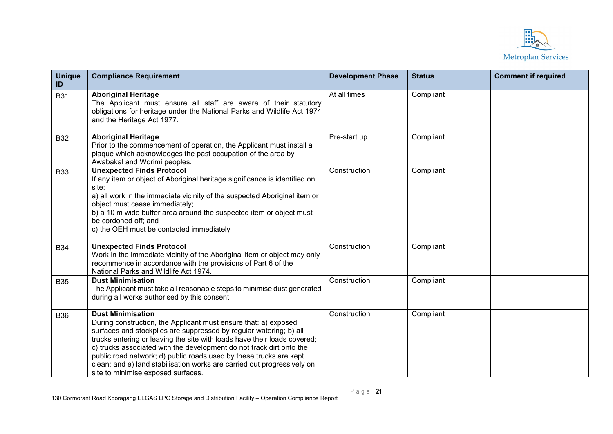

| <b>Unique</b><br>ID | <b>Compliance Requirement</b>                                                                                                                                                                                                                                                                                                                                                                                                                                                                                | <b>Development Phase</b> | <b>Status</b> | <b>Comment if required</b> |
|---------------------|--------------------------------------------------------------------------------------------------------------------------------------------------------------------------------------------------------------------------------------------------------------------------------------------------------------------------------------------------------------------------------------------------------------------------------------------------------------------------------------------------------------|--------------------------|---------------|----------------------------|
| <b>B31</b>          | <b>Aboriginal Heritage</b><br>The Applicant must ensure all staff are aware of their statutory<br>obligations for heritage under the National Parks and Wildlife Act 1974<br>and the Heritage Act 1977.                                                                                                                                                                                                                                                                                                      | At all times             | Compliant     |                            |
| <b>B32</b>          | <b>Aboriginal Heritage</b><br>Prior to the commencement of operation, the Applicant must install a<br>plaque which acknowledges the past occupation of the area by<br>Awabakal and Worimi peoples.                                                                                                                                                                                                                                                                                                           | Pre-start up             | Compliant     |                            |
| <b>B33</b>          | <b>Unexpected Finds Protocol</b><br>If any item or object of Aboriginal heritage significance is identified on<br>site:<br>a) all work in the immediate vicinity of the suspected Aboriginal item or<br>object must cease immediately;<br>b) a 10 m wide buffer area around the suspected item or object must<br>be cordoned off; and<br>c) the OEH must be contacted immediately                                                                                                                            | Construction             | Compliant     |                            |
| <b>B34</b>          | <b>Unexpected Finds Protocol</b><br>Work in the immediate vicinity of the Aboriginal item or object may only<br>recommence in accordance with the provisions of Part 6 of the<br>National Parks and Wildlife Act 1974.                                                                                                                                                                                                                                                                                       | Construction             | Compliant     |                            |
| <b>B35</b>          | <b>Dust Minimisation</b><br>The Applicant must take all reasonable steps to minimise dust generated<br>during all works authorised by this consent.                                                                                                                                                                                                                                                                                                                                                          | Construction             | Compliant     |                            |
| <b>B36</b>          | <b>Dust Minimisation</b><br>During construction, the Applicant must ensure that: a) exposed<br>surfaces and stockpiles are suppressed by regular watering; b) all<br>trucks entering or leaving the site with loads have their loads covered;<br>c) trucks associated with the development do not track dirt onto the<br>public road network; d) public roads used by these trucks are kept<br>clean; and e) land stabilisation works are carried out progressively on<br>site to minimise exposed surfaces. | Construction             | Compliant     |                            |

Page | **21**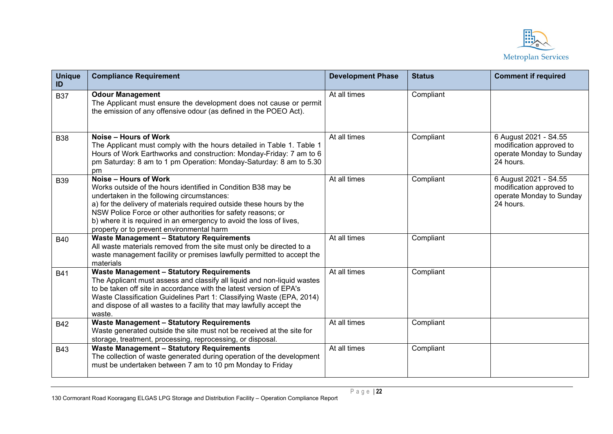

| <b>Unique</b><br>ID | <b>Compliance Requirement</b>                                                                                                                                                                                                                                                                                                                                                                    | <b>Development Phase</b> | <b>Status</b> | <b>Comment if required</b>                                                                 |
|---------------------|--------------------------------------------------------------------------------------------------------------------------------------------------------------------------------------------------------------------------------------------------------------------------------------------------------------------------------------------------------------------------------------------------|--------------------------|---------------|--------------------------------------------------------------------------------------------|
| <b>B37</b>          | <b>Odour Management</b><br>The Applicant must ensure the development does not cause or permit<br>the emission of any offensive odour (as defined in the POEO Act).                                                                                                                                                                                                                               | At all times             | Compliant     |                                                                                            |
| <b>B38</b>          | Noise – Hours of Work<br>The Applicant must comply with the hours detailed in Table 1. Table 1<br>Hours of Work Earthworks and construction: Monday-Friday: 7 am to 6<br>pm Saturday: 8 am to 1 pm Operation: Monday-Saturday: 8 am to 5.30<br>pm                                                                                                                                                | At all times             | Compliant     | 6 August 2021 - S4.55<br>modification approved to<br>operate Monday to Sunday<br>24 hours. |
| <b>B39</b>          | Noise - Hours of Work<br>Works outside of the hours identified in Condition B38 may be<br>undertaken in the following circumstances:<br>a) for the delivery of materials required outside these hours by the<br>NSW Police Force or other authorities for safety reasons; or<br>b) where it is required in an emergency to avoid the loss of lives,<br>property or to prevent environmental harm | At all times             | Compliant     | 6 August 2021 - S4.55<br>modification approved to<br>operate Monday to Sunday<br>24 hours. |
| <b>B40</b>          | <b>Waste Management - Statutory Requirements</b><br>All waste materials removed from the site must only be directed to a<br>waste management facility or premises lawfully permitted to accept the<br>materials                                                                                                                                                                                  | At all times             | Compliant     |                                                                                            |
| <b>B41</b>          | <b>Waste Management - Statutory Requirements</b><br>The Applicant must assess and classify all liquid and non-liquid wastes<br>to be taken off site in accordance with the latest version of EPA's<br>Waste Classification Guidelines Part 1: Classifying Waste (EPA, 2014)<br>and dispose of all wastes to a facility that may lawfully accept the<br>waste.                                    | At all times             | Compliant     |                                                                                            |
| <b>B42</b>          | <b>Waste Management - Statutory Requirements</b><br>Waste generated outside the site must not be received at the site for<br>storage, treatment, processing, reprocessing, or disposal.                                                                                                                                                                                                          | At all times             | Compliant     |                                                                                            |
| <b>B43</b>          | <b>Waste Management - Statutory Requirements</b><br>The collection of waste generated during operation of the development<br>must be undertaken between 7 am to 10 pm Monday to Friday                                                                                                                                                                                                           | At all times             | Compliant     |                                                                                            |

Page | **22**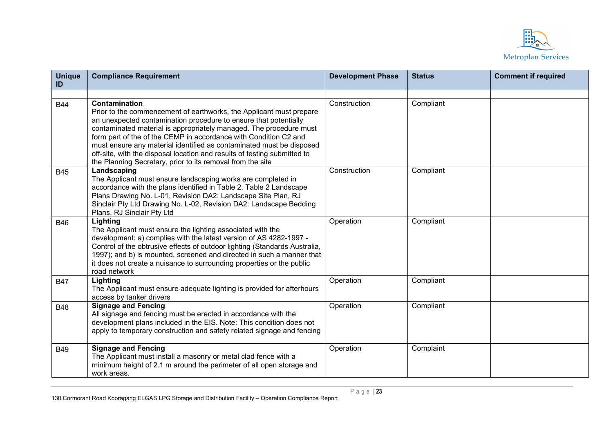

| <b>Unique</b><br>ID | <b>Compliance Requirement</b>                                                                                                                                                                                                                                                                                                                                                                                                                                                                                               | <b>Development Phase</b> | <b>Status</b> | <b>Comment if required</b> |
|---------------------|-----------------------------------------------------------------------------------------------------------------------------------------------------------------------------------------------------------------------------------------------------------------------------------------------------------------------------------------------------------------------------------------------------------------------------------------------------------------------------------------------------------------------------|--------------------------|---------------|----------------------------|
|                     |                                                                                                                                                                                                                                                                                                                                                                                                                                                                                                                             |                          |               |                            |
| <b>B44</b>          | <b>Contamination</b><br>Prior to the commencement of earthworks, the Applicant must prepare<br>an unexpected contamination procedure to ensure that potentially<br>contaminated material is appropriately managed. The procedure must<br>form part of the of the CEMP in accordance with Condition C2 and<br>must ensure any material identified as contaminated must be disposed<br>off-site, with the disposal location and results of testing submitted to<br>the Planning Secretary, prior to its removal from the site | Construction             | Compliant     |                            |
| <b>B45</b>          | Landscaping<br>The Applicant must ensure landscaping works are completed in<br>accordance with the plans identified in Table 2. Table 2 Landscape<br>Plans Drawing No. L-01, Revision DA2: Landscape Site Plan, RJ<br>Sinclair Pty Ltd Drawing No. L-02, Revision DA2: Landscape Bedding<br>Plans, RJ Sinclair Pty Ltd                                                                                                                                                                                                      | Construction             | Compliant     |                            |
| <b>B46</b>          | Lighting<br>The Applicant must ensure the lighting associated with the<br>development: a) complies with the latest version of AS 4282-1997 -<br>Control of the obtrusive effects of outdoor lighting (Standards Australia,<br>1997); and b) is mounted, screened and directed in such a manner that<br>it does not create a nuisance to surrounding properties or the public<br>road network                                                                                                                                | Operation                | Compliant     |                            |
| <b>B47</b>          | Lighting<br>The Applicant must ensure adequate lighting is provided for afterhours<br>access by tanker drivers                                                                                                                                                                                                                                                                                                                                                                                                              | Operation                | Compliant     |                            |
| <b>B48</b>          | <b>Signage and Fencing</b><br>All signage and fencing must be erected in accordance with the<br>development plans included in the EIS. Note: This condition does not<br>apply to temporary construction and safety related signage and fencing                                                                                                                                                                                                                                                                              | Operation                | Compliant     |                            |
| <b>B49</b>          | <b>Signage and Fencing</b><br>The Applicant must install a masonry or metal clad fence with a<br>minimum height of 2.1 m around the perimeter of all open storage and<br>work areas.                                                                                                                                                                                                                                                                                                                                        | Operation                | Complaint     |                            |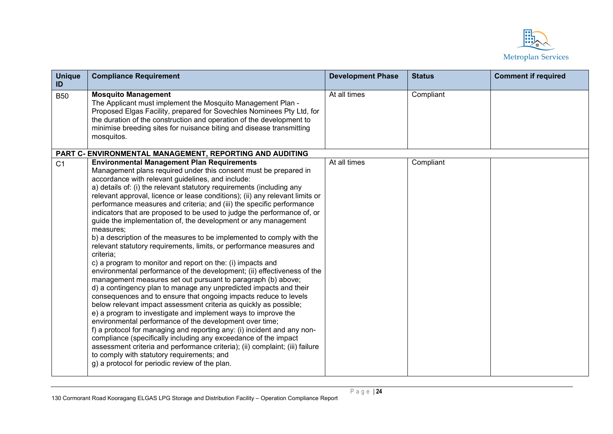

| <b>Unique</b><br>ID | <b>Compliance Requirement</b>                                                                                                                                                                                                                                                                                                                                                                                                                                                                                                                                                                                                                                                                                                                                                                                                                                                                                                                                                                                                                                                                                                                                                                                                                                                                                                                                                                                                                                                                                                                                                                                         | <b>Development Phase</b> | <b>Status</b> | <b>Comment if required</b> |
|---------------------|-----------------------------------------------------------------------------------------------------------------------------------------------------------------------------------------------------------------------------------------------------------------------------------------------------------------------------------------------------------------------------------------------------------------------------------------------------------------------------------------------------------------------------------------------------------------------------------------------------------------------------------------------------------------------------------------------------------------------------------------------------------------------------------------------------------------------------------------------------------------------------------------------------------------------------------------------------------------------------------------------------------------------------------------------------------------------------------------------------------------------------------------------------------------------------------------------------------------------------------------------------------------------------------------------------------------------------------------------------------------------------------------------------------------------------------------------------------------------------------------------------------------------------------------------------------------------------------------------------------------------|--------------------------|---------------|----------------------------|
| <b>B50</b>          | <b>Mosquito Management</b><br>The Applicant must implement the Mosquito Management Plan -<br>Proposed Elgas Facility, prepared for Sovechles Nominees Pty Ltd, for<br>the duration of the construction and operation of the development to<br>minimise breeding sites for nuisance biting and disease transmitting<br>mosquitos.                                                                                                                                                                                                                                                                                                                                                                                                                                                                                                                                                                                                                                                                                                                                                                                                                                                                                                                                                                                                                                                                                                                                                                                                                                                                                      | At all times             | Compliant     |                            |
|                     | PART C- ENVIRONMENTAL MANAGEMENT, REPORTING AND AUDITING                                                                                                                                                                                                                                                                                                                                                                                                                                                                                                                                                                                                                                                                                                                                                                                                                                                                                                                                                                                                                                                                                                                                                                                                                                                                                                                                                                                                                                                                                                                                                              |                          |               |                            |
| C <sub>1</sub>      | <b>Environmental Management Plan Requirements</b><br>Management plans required under this consent must be prepared in<br>accordance with relevant guidelines, and include:<br>a) details of: (i) the relevant statutory requirements (including any<br>relevant approval, licence or lease conditions); (ii) any relevant limits or<br>performance measures and criteria; and (iii) the specific performance<br>indicators that are proposed to be used to judge the performance of, or<br>guide the implementation of, the development or any management<br>measures;<br>b) a description of the measures to be implemented to comply with the<br>relevant statutory requirements, limits, or performance measures and<br>criteria;<br>c) a program to monitor and report on the: (i) impacts and<br>environmental performance of the development; (ii) effectiveness of the<br>management measures set out pursuant to paragraph (b) above;<br>d) a contingency plan to manage any unpredicted impacts and their<br>consequences and to ensure that ongoing impacts reduce to levels<br>below relevant impact assessment criteria as quickly as possible;<br>e) a program to investigate and implement ways to improve the<br>environmental performance of the development over time;<br>f) a protocol for managing and reporting any: (i) incident and any non-<br>compliance (specifically including any exceedance of the impact<br>assessment criteria and performance criteria); (ii) complaint; (iii) failure<br>to comply with statutory requirements; and<br>g) a protocol for periodic review of the plan. | At all times             | Compliant     |                            |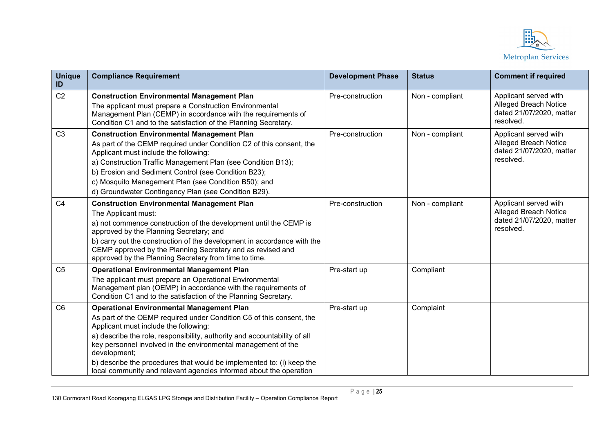

| <b>Unique</b><br>ID | <b>Compliance Requirement</b>                                                                                                                                                                                                                                                                                                                                                                                                                                                  | <b>Development Phase</b> | <b>Status</b>   | <b>Comment if required</b>                                                                     |
|---------------------|--------------------------------------------------------------------------------------------------------------------------------------------------------------------------------------------------------------------------------------------------------------------------------------------------------------------------------------------------------------------------------------------------------------------------------------------------------------------------------|--------------------------|-----------------|------------------------------------------------------------------------------------------------|
| C <sub>2</sub>      | <b>Construction Environmental Management Plan</b><br>The applicant must prepare a Construction Environmental<br>Management Plan (CEMP) in accordance with the requirements of<br>Condition C1 and to the satisfaction of the Planning Secretary.                                                                                                                                                                                                                               | Pre-construction         | Non - compliant | Applicant served with<br>Alleged Breach Notice<br>dated 21/07/2020, matter<br>resolved.        |
| C <sub>3</sub>      | <b>Construction Environmental Management Plan</b><br>As part of the CEMP required under Condition C2 of this consent, the<br>Applicant must include the following:<br>a) Construction Traffic Management Plan (see Condition B13);<br>b) Erosion and Sediment Control (see Condition B23);<br>c) Mosquito Management Plan (see Condition B50); and<br>d) Groundwater Contingency Plan (see Condition B29).                                                                     | Pre-construction         | Non - compliant | Applicant served with<br><b>Alleged Breach Notice</b><br>dated 21/07/2020, matter<br>resolved. |
| C <sub>4</sub>      | <b>Construction Environmental Management Plan</b><br>The Applicant must:<br>a) not commence construction of the development until the CEMP is<br>approved by the Planning Secretary; and<br>b) carry out the construction of the development in accordance with the<br>CEMP approved by the Planning Secretary and as revised and<br>approved by the Planning Secretary from time to time.                                                                                     | Pre-construction         | Non - compliant | Applicant served with<br><b>Alleged Breach Notice</b><br>dated 21/07/2020, matter<br>resolved. |
| C <sub>5</sub>      | <b>Operational Environmental Management Plan</b><br>The applicant must prepare an Operational Environmental<br>Management plan (OEMP) in accordance with the requirements of<br>Condition C1 and to the satisfaction of the Planning Secretary.                                                                                                                                                                                                                                | Pre-start up             | Compliant       |                                                                                                |
| C <sub>6</sub>      | <b>Operational Environmental Management Plan</b><br>As part of the OEMP required under Condition C5 of this consent, the<br>Applicant must include the following:<br>a) describe the role, responsibility, authority and accountability of all<br>key personnel involved in the environmental management of the<br>development;<br>b) describe the procedures that would be implemented to: (i) keep the<br>local community and relevant agencies informed about the operation | Pre-start up             | Complaint       |                                                                                                |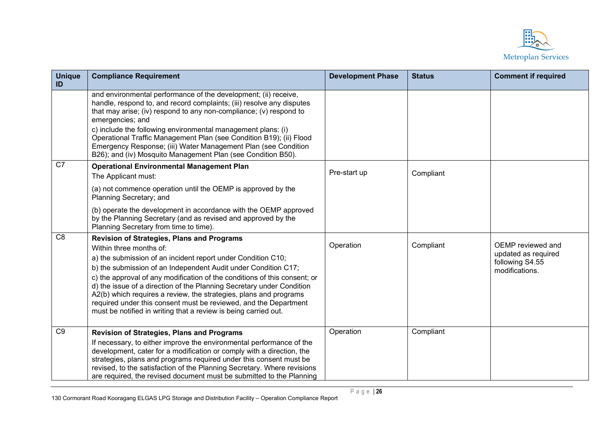

| <b>Unique</b><br>ID | <b>Compliance Requirement</b>                                                                                                                                                                                                                                                                                                                                                                                                                                                                                                                                                    | <b>Development Phase</b> | <b>Status</b> | <b>Comment if required</b>                                                    |
|---------------------|----------------------------------------------------------------------------------------------------------------------------------------------------------------------------------------------------------------------------------------------------------------------------------------------------------------------------------------------------------------------------------------------------------------------------------------------------------------------------------------------------------------------------------------------------------------------------------|--------------------------|---------------|-------------------------------------------------------------------------------|
|                     | and environmental performance of the development; (ii) receive,<br>handle, respond to, and record complaints; (iii) resolve any disputes<br>that may arise; (iv) respond to any non-compliance; (v) respond to<br>emergencies; and<br>c) include the following environmental management plans: (i)<br>Operational Traffic Management Plan (see Condition B19); (ii) Flood<br>Emergency Response; (iii) Water Management Plan (see Condition<br>B26); and (iv) Mosquito Management Plan (see Condition B50).                                                                      |                          |               |                                                                               |
| C7                  | <b>Operational Environmental Management Plan</b><br>The Applicant must:                                                                                                                                                                                                                                                                                                                                                                                                                                                                                                          | Pre-start up             | Compliant     |                                                                               |
|                     | (a) not commence operation until the OEMP is approved by the<br>Planning Secretary; and                                                                                                                                                                                                                                                                                                                                                                                                                                                                                          |                          |               |                                                                               |
|                     | (b) operate the development in accordance with the OEMP approved<br>by the Planning Secretary (and as revised and approved by the<br>Planning Secretary from time to time).                                                                                                                                                                                                                                                                                                                                                                                                      |                          |               |                                                                               |
| C <sub>8</sub>      | <b>Revision of Strategies, Plans and Programs</b><br>Within three months of:<br>a) the submission of an incident report under Condition C10;<br>b) the submission of an Independent Audit under Condition C17;<br>c) the approval of any modification of the conditions of this consent; or<br>d) the issue of a direction of the Planning Secretary under Condition<br>A2(b) which requires a review, the strategies, plans and programs<br>required under this consent must be reviewed, and the Department<br>must be notified in writing that a review is being carried out. | Operation                | Compliant     | OEMP reviewed and<br>updated as required<br>following S4.55<br>modifications. |
| C9                  | <b>Revision of Strategies, Plans and Programs</b><br>If necessary, to either improve the environmental performance of the<br>development, cater for a modification or comply with a direction, the<br>strategies, plans and programs required under this consent must be<br>revised, to the satisfaction of the Planning Secretary. Where revisions<br>are required, the revised document must be submitted to the Planning                                                                                                                                                      | Operation                | Compliant     |                                                                               |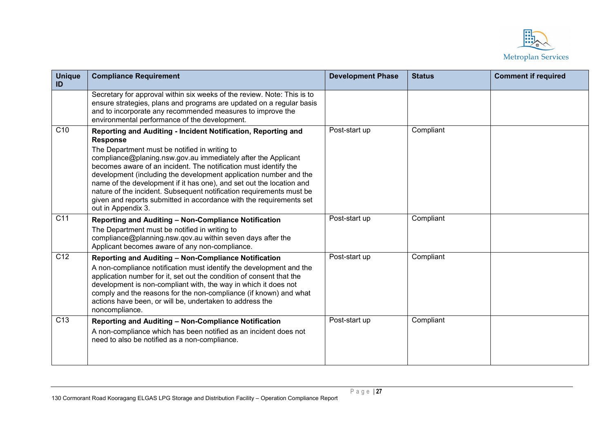

| <b>Unique</b><br>ID | <b>Compliance Requirement</b>                                                                                                                                                                                                                                                                                                                                                                                                                                                                                                                                      | <b>Development Phase</b> | <b>Status</b> | <b>Comment if required</b> |
|---------------------|--------------------------------------------------------------------------------------------------------------------------------------------------------------------------------------------------------------------------------------------------------------------------------------------------------------------------------------------------------------------------------------------------------------------------------------------------------------------------------------------------------------------------------------------------------------------|--------------------------|---------------|----------------------------|
|                     | Secretary for approval within six weeks of the review. Note: This is to<br>ensure strategies, plans and programs are updated on a regular basis<br>and to incorporate any recommended measures to improve the<br>environmental performance of the development.                                                                                                                                                                                                                                                                                                     |                          |               |                            |
| C <sub>10</sub>     | Reporting and Auditing - Incident Notification, Reporting and<br><b>Response</b><br>The Department must be notified in writing to<br>compliance@planing.nsw.gov.au immediately after the Applicant<br>becomes aware of an incident. The notification must identify the<br>development (including the development application number and the<br>name of the development if it has one), and set out the location and<br>nature of the incident. Subsequent notification requirements must be<br>given and reports submitted in accordance with the requirements set | Post-start up            | Compliant     |                            |
| C <sub>11</sub>     | out in Appendix 3.<br>Reporting and Auditing - Non-Compliance Notification<br>The Department must be notified in writing to<br>compliance@planning.nsw.qov.au within seven days after the<br>Applicant becomes aware of any non-compliance.                                                                                                                                                                                                                                                                                                                        | Post-start up            | Compliant     |                            |
| C <sub>12</sub>     | Reporting and Auditing - Non-Compliance Notification<br>A non-compliance notification must identify the development and the<br>application number for it, set out the condition of consent that the<br>development is non-compliant with, the way in which it does not<br>comply and the reasons for the non-compliance (if known) and what<br>actions have been, or will be, undertaken to address the<br>noncompliance.                                                                                                                                          | Post-start up            | Compliant     |                            |
| C <sub>13</sub>     | Reporting and Auditing - Non-Compliance Notification<br>A non-compliance which has been notified as an incident does not<br>need to also be notified as a non-compliance.                                                                                                                                                                                                                                                                                                                                                                                          | Post-start up            | Compliant     |                            |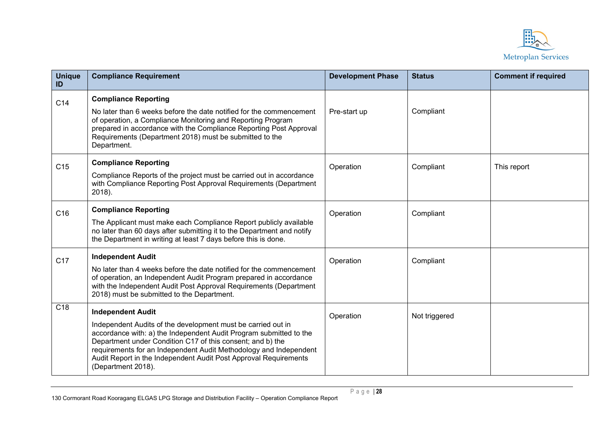

| <b>Unique</b><br>ID | <b>Compliance Requirement</b>                                                                                                                                                                                                                                                                                                                                                               | <b>Development Phase</b> | <b>Status</b> | <b>Comment if required</b> |
|---------------------|---------------------------------------------------------------------------------------------------------------------------------------------------------------------------------------------------------------------------------------------------------------------------------------------------------------------------------------------------------------------------------------------|--------------------------|---------------|----------------------------|
| C14                 | <b>Compliance Reporting</b><br>No later than 6 weeks before the date notified for the commencement<br>of operation, a Compliance Monitoring and Reporting Program<br>prepared in accordance with the Compliance Reporting Post Approval<br>Requirements (Department 2018) must be submitted to the<br>Department.                                                                           | Pre-start up             | Compliant     |                            |
| C15                 | <b>Compliance Reporting</b><br>Compliance Reports of the project must be carried out in accordance<br>with Compliance Reporting Post Approval Requirements (Department<br>2018).                                                                                                                                                                                                            | Operation                | Compliant     | This report                |
| C16                 | <b>Compliance Reporting</b><br>The Applicant must make each Compliance Report publicly available<br>no later than 60 days after submitting it to the Department and notify<br>the Department in writing at least 7 days before this is done.                                                                                                                                                | Operation                | Compliant     |                            |
| C <sub>17</sub>     | <b>Independent Audit</b><br>No later than 4 weeks before the date notified for the commencement<br>of operation, an Independent Audit Program prepared in accordance<br>with the Independent Audit Post Approval Requirements (Department<br>2018) must be submitted to the Department.                                                                                                     | Operation                | Compliant     |                            |
| C <sub>18</sub>     | <b>Independent Audit</b><br>Independent Audits of the development must be carried out in<br>accordance with: a) the Independent Audit Program submitted to the<br>Department under Condition C17 of this consent; and b) the<br>requirements for an Independent Audit Methodology and Independent<br>Audit Report in the Independent Audit Post Approval Requirements<br>(Department 2018). | Operation                | Not triggered |                            |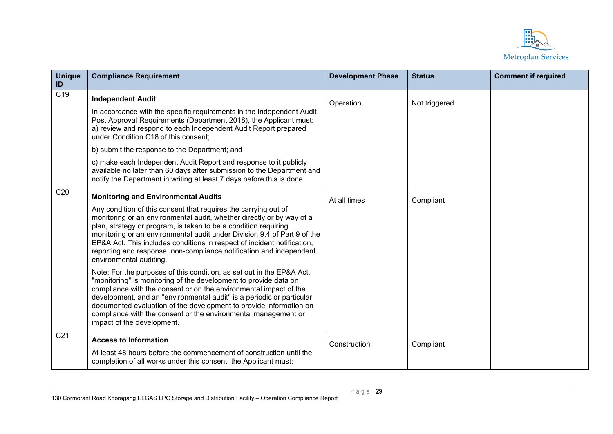

| <b>Unique</b><br>ID | <b>Compliance Requirement</b>                                                                                                                                                                                                                                                                                                                                                                                                                                                                                                                                                                                                                                                                                                                                                                                                                                                                                                                                                       | <b>Development Phase</b> | <b>Status</b> | <b>Comment if required</b> |
|---------------------|-------------------------------------------------------------------------------------------------------------------------------------------------------------------------------------------------------------------------------------------------------------------------------------------------------------------------------------------------------------------------------------------------------------------------------------------------------------------------------------------------------------------------------------------------------------------------------------------------------------------------------------------------------------------------------------------------------------------------------------------------------------------------------------------------------------------------------------------------------------------------------------------------------------------------------------------------------------------------------------|--------------------------|---------------|----------------------------|
| $\overline{C19}$    | <b>Independent Audit</b><br>In accordance with the specific requirements in the Independent Audit<br>Post Approval Requirements (Department 2018), the Applicant must:<br>a) review and respond to each Independent Audit Report prepared<br>under Condition C18 of this consent;<br>b) submit the response to the Department; and<br>c) make each Independent Audit Report and response to it publicly<br>available no later than 60 days after submission to the Department and<br>notify the Department in writing at least 7 days before this is done                                                                                                                                                                                                                                                                                                                                                                                                                           | Operation                | Not triggered |                            |
| C <sub>20</sub>     | <b>Monitoring and Environmental Audits</b><br>Any condition of this consent that requires the carrying out of<br>monitoring or an environmental audit, whether directly or by way of a<br>plan, strategy or program, is taken to be a condition requiring<br>monitoring or an environmental audit under Division 9.4 of Part 9 of the<br>EP&A Act. This includes conditions in respect of incident notification,<br>reporting and response, non-compliance notification and independent<br>environmental auditing.<br>Note: For the purposes of this condition, as set out in the EP&A Act,<br>"monitoring" is monitoring of the development to provide data on<br>compliance with the consent or on the environmental impact of the<br>development, and an "environmental audit" is a periodic or particular<br>documented evaluation of the development to provide information on<br>compliance with the consent or the environmental management or<br>impact of the development. | At all times             | Compliant     |                            |
| C <sub>21</sub>     | <b>Access to Information</b><br>At least 48 hours before the commencement of construction until the<br>completion of all works under this consent, the Applicant must:                                                                                                                                                                                                                                                                                                                                                                                                                                                                                                                                                                                                                                                                                                                                                                                                              | Construction             | Compliant     |                            |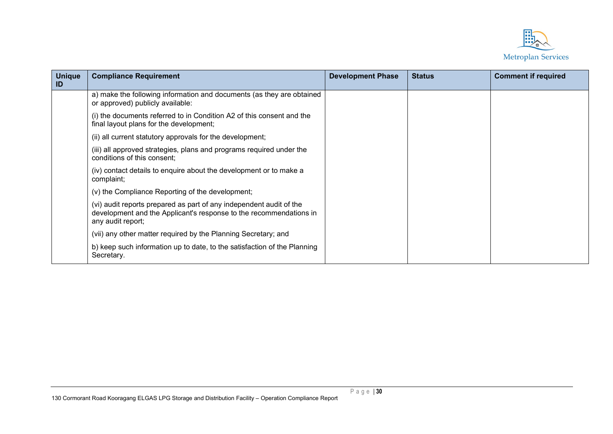

| <b>Unique</b><br>ID | <b>Compliance Requirement</b>                                                                                                                                  | <b>Development Phase</b> | <b>Status</b> | <b>Comment if required</b> |
|---------------------|----------------------------------------------------------------------------------------------------------------------------------------------------------------|--------------------------|---------------|----------------------------|
|                     | a) make the following information and documents (as they are obtained<br>or approved) publicly available:                                                      |                          |               |                            |
|                     | (i) the documents referred to in Condition A2 of this consent and the<br>final layout plans for the development;                                               |                          |               |                            |
|                     | (ii) all current statutory approvals for the development;                                                                                                      |                          |               |                            |
|                     | (iii) all approved strategies, plans and programs required under the<br>conditions of this consent;                                                            |                          |               |                            |
|                     | (iv) contact details to enquire about the development or to make a<br>complaint;                                                                               |                          |               |                            |
|                     | (v) the Compliance Reporting of the development;                                                                                                               |                          |               |                            |
|                     | (vi) audit reports prepared as part of any independent audit of the<br>development and the Applicant's response to the recommendations in<br>any audit report; |                          |               |                            |
|                     | (vii) any other matter required by the Planning Secretary; and                                                                                                 |                          |               |                            |
|                     | b) keep such information up to date, to the satisfaction of the Planning<br>Secretary.                                                                         |                          |               |                            |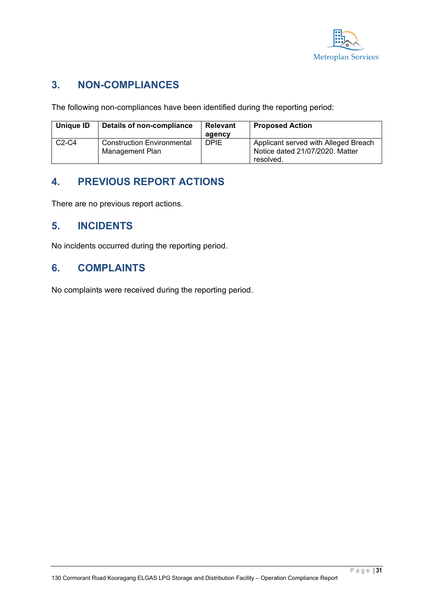

### **3. NON-COMPLIANCES**

The following non-compliances have been identified during the reporting period:

| Unique ID | Details of non-compliance                            | <b>Relevant</b> | <b>Proposed Action</b>                                                  |
|-----------|------------------------------------------------------|-----------------|-------------------------------------------------------------------------|
|           |                                                      | agency          |                                                                         |
| $C2-C4$   | <b>Construction Environmental</b><br>Management Plan | <b>DPIE</b>     | Applicant served with Alleged Breach<br>Notice dated 21/07/2020. Matter |
|           |                                                      |                 | resolved.                                                               |

## **4. PREVIOUS REPORT ACTIONS**

There are no previous report actions.

#### **5. INCIDENTS**

No incidents occurred during the reporting period.

#### **6. COMPLAINTS**

No complaints were received during the reporting period.